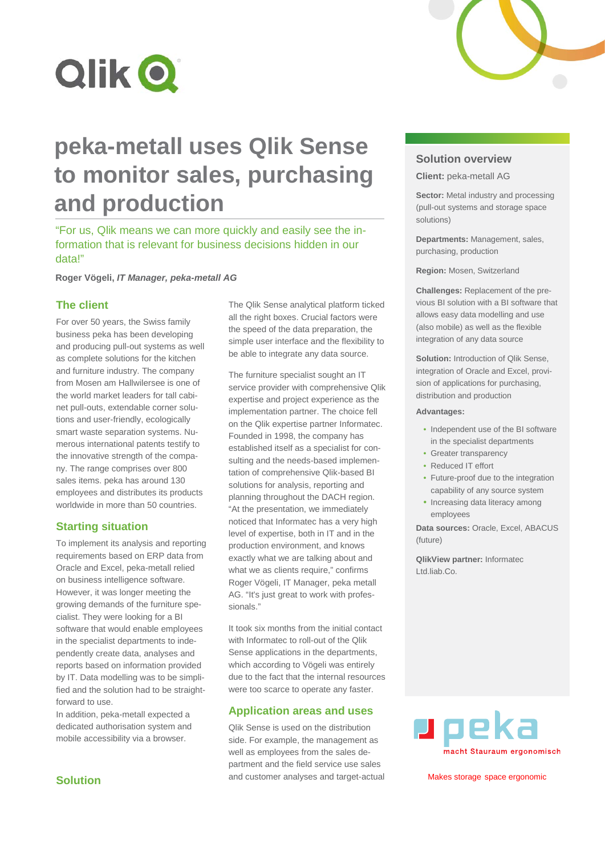



"For us, Qlik means we can more quickly and easily see the information that is relevant for business decisions hidden in our data!"

**Roger Vögeli,** *IT Manager, peka-metall AG*

### **The client**

For over 50 years, the Swiss family business peka has been developing and producing pull-out systems as well as complete solutions for the kitchen and furniture industry. The company from Mosen am Hallwilersee is one of the world market leaders for tall cabinet pull-outs, extendable corner solutions and user-friendly, ecologically smart waste separation systems. Numerous international patents testify to the innovative strength of the company. The range comprises over 800 sales items. peka has around 130 employees and distributes its products worldwide in more than 50 countries.

#### **Starting situation**

To implement its analysis and reporting requirements based on ERP data from Oracle and Excel, peka-metall relied on business intelligence software. However, it was longer meeting the growing demands of the furniture specialist. They were looking for a BI software that would enable employees in the specialist departments to independently create data, analyses and reports based on information provided by IT. Data modelling was to be simplified and the solution had to be straightforward to use.

In addition, peka-metall expected a dedicated authorisation system and mobile accessibility via a browser.

The Qlik Sense analytical platform ticked all the right boxes. Crucial factors were the speed of the data preparation, the simple user interface and the flexibility to be able to integrate any data source.

The furniture specialist sought an IT service provider with comprehensive Qlik expertise and project experience as the implementation partner. The choice fell on the Qlik expertise partner Informatec. Founded in 1998, the company has established itself as a specialist for consulting and the needs-based implementation of comprehensive Qlik-based BI solutions for analysis, reporting and planning throughout the DACH region. "At the presentation, we immediately noticed that Informatec has a very high level of expertise, both in IT and in the production environment, and knows exactly what we are talking about and what we as clients require," confirms Roger Vögeli, IT Manager, peka metall AG. "It's just great to work with professionals."

It took six months from the initial contact with Informatec to roll-out of the Qlik Sense applications in the departments, which according to Vögeli was entirely due to the fact that the internal resources were too scarce to operate any faster.

#### **Application areas and uses**

Qlik Sense is used on the distribution side. For example, the management as well as employees from the sales department and the field service use sales and customer analyses and target-actual

## **Solution overview**

**Client:** peka-metall AG

**Sector:** Metal industry and processing (pull-out systems and storage space solutions)

**Departments:** Management, sales, purchasing, production

**Region:** Mosen, Switzerland

**Challenges:** Replacement of the previous BI solution with a BI software that allows easy data modelling and use (also mobile) as well as the flexible integration of any data source

**Solution:** Introduction of Qlik Sense, integration of Oracle and Excel, provision of applications for purchasing, distribution and production

#### **Advantages:**

- Independent use of the BI software in the specialist departments
- Greater transparency
- Reduced IT effort
- Future-proof due to the integration capability of any source system
- Increasing data literacy among employees

**Data sources:** Oracle, Excel, ABACUS (future)

**QlikView partner:** Informatec Ltd.liab.Co.



Makes storage space ergonomic